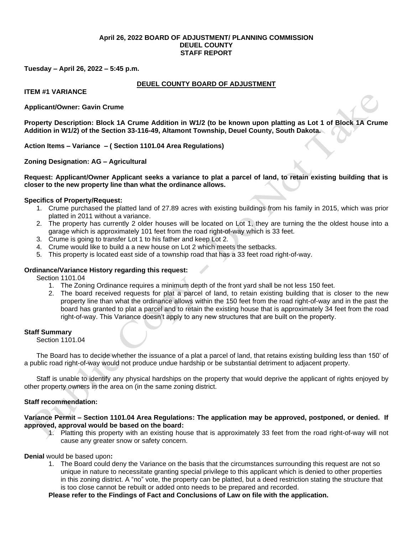### **April 26, 2022 BOARD OF ADJUSTMENT/ PLANNING COMMISSION DEUEL COUNTY STAFF REPORT**

**Tuesday – April 26, 2022 – 5:45 p.m.**

# **DEUEL COUNTY BOARD OF ADJUSTMENT**

**ITEM #1 VARIANCE**

# **Applicant/Owner: Gavin Crume**

**Property Description: Block 1A Crume Addition in W1/2 (to be known upon platting as Lot 1 of Block 1A Crume Addition in W1/2) of the Section 33-116-49, Altamont Township, Deuel County, South Dakota.**

**Action Items – Variance – ( Section 1101.04 Area Regulations)**

**Zoning Designation: AG – Agricultural**

**Request: Applicant/Owner Applicant seeks a variance to plat a parcel of land, to retain existing building that is closer to the new property line than what the ordinance allows.**

## **Specifics of Property/Request:**

- 1. Crume purchased the platted land of 27.89 acres with existing buildings from his family in 2015, which was prior platted in 2011 without a variance.
- 2. The property has currently 2 older houses will be located on Lot 1, they are turning the the oldest house into a garage which is approximately 101 feet from the road right-of-way which is 33 feet.
- 3. Crume is going to transfer Lot 1 to his father and keep Lot 2.
- 4. Crume would like to build a a new house on Lot 2 which meets the setbacks.
- 5. This property is located east side of a township road that has a 33 feet road right-of-way.

## **Ordinance/Variance History regarding this request:**

Section 1101.04

- 1. The Zoning Ordinance requires a minimum depth of the front yard shall be not less 150 feet.
- 2. The board received requests for plat a parcel of land, to retain existing building that is closer to the new property line than what the ordinance allows within the 150 feet from the road right-of-way and in the past the board has granted to plat a parcel and to retain the existing house that is approximately 34 feet from the road right-of-way. This Variance doesn't apply to any new structures that are built on the property.

#### **Staff Summary**

Section 1101.04

The Board has to decide whether the issuance of a plat a parcel of land, that retains existing building less than 150' of a public road right-of-way would not produce undue hardship or be substantial detriment to adjacent property.

Staff is unable to identify any physical hardships on the property that would deprive the applicant of rights enjoyed by other property owners in the area on (in the same zoning district.

# **Staff recommendation:**

# **Variance Permit – Section 1101.04 Area Regulations: The application may be approved, postponed, or denied. If approved, approval would be based on the board:**

1. Platting this property with an existing house that is approximately 33 feet from the road right-of-way will not cause any greater snow or safety concern.

### **Denial** would be based upon**:**

1. The Board could deny the Variance on the basis that the circumstances surrounding this request are not so unique in nature to necessitate granting special privilege to this applicant which is denied to other properties in this zoning district. A "no" vote, the property can be platted, but a deed restriction stating the structure that is too close cannot be rebuilt or added onto needs to be prepared and recorded.

**Please refer to the Findings of Fact and Conclusions of Law on file with the application.**